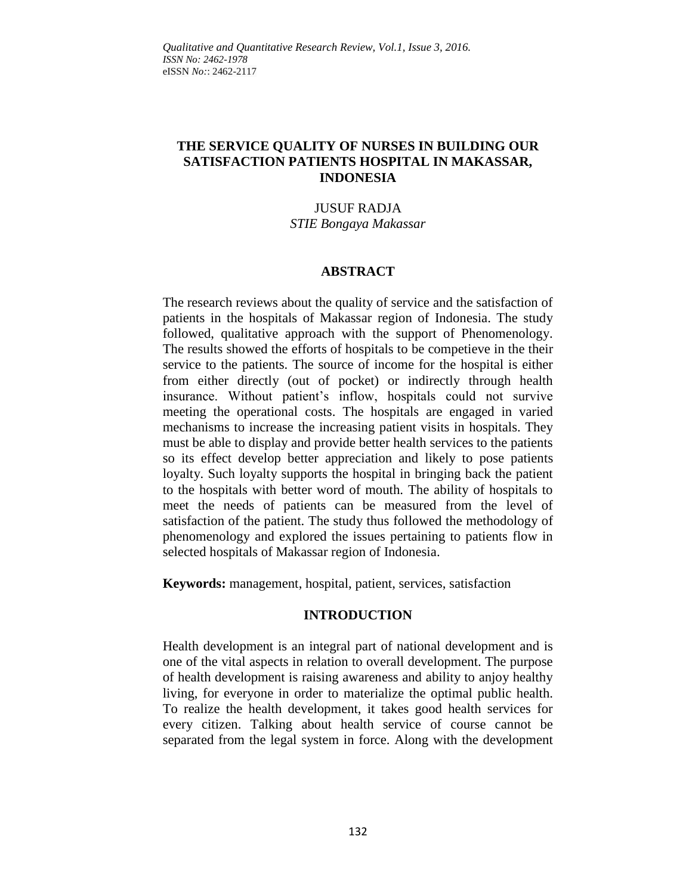# **THE SERVICE QUALITY OF NURSES IN BUILDING OUR SATISFACTION PATIENTS HOSPITAL IN MAKASSAR, INDONESIA**

#### JUSUF RADJA *STIE Bongaya Makassar*

## **ABSTRACT**

The research reviews about the quality of service and the satisfaction of patients in the hospitals of Makassar region of Indonesia. The study followed, qualitative approach with the support of Phenomenology. The results showed the efforts of hospitals to be competieve in the their service to the patients. The source of income for the hospital is either from either directly (out of pocket) or indirectly through health insurance. Without patient's inflow, hospitals could not survive meeting the operational costs. The hospitals are engaged in varied mechanisms to increase the increasing patient visits in hospitals. They must be able to display and provide better health services to the patients so its effect develop better appreciation and likely to pose patients loyalty. Such loyalty supports the hospital in bringing back the patient to the hospitals with better word of mouth. The ability of hospitals to meet the needs of patients can be measured from the level of satisfaction of the patient. The study thus followed the methodology of phenomenology and explored the issues pertaining to patients flow in selected hospitals of Makassar region of Indonesia.

**Keywords:** management, hospital, patient, services, satisfaction

## **INTRODUCTION**

Health development is an integral part of national development and is one of the vital aspects in relation to overall development. The purpose of health development is raising awareness and ability to anjoy healthy living, for everyone in order to materialize the optimal public health. To realize the health development, it takes good health services for every citizen. Talking about health service of course cannot be separated from the legal system in force. Along with the development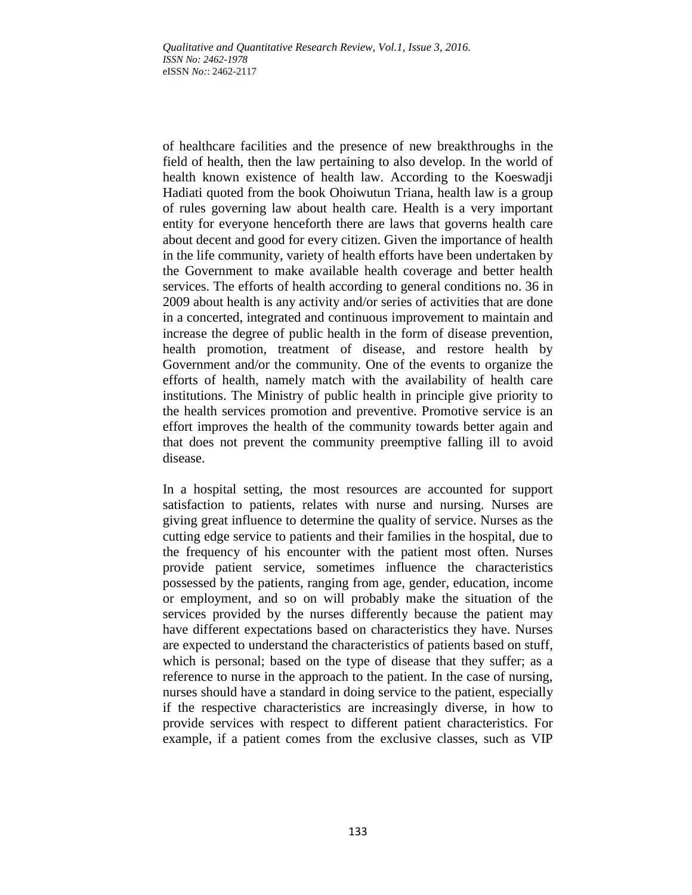of healthcare facilities and the presence of new breakthroughs in the field of health, then the law pertaining to also develop. In the world of health known existence of health law. According to the Koeswadji Hadiati quoted from the book Ohoiwutun Triana, health law is a group of rules governing law about health care. Health is a very important entity for everyone henceforth there are laws that governs health care about decent and good for every citizen. Given the importance of health in the life community, variety of health efforts have been undertaken by the Government to make available health coverage and better health services. The efforts of health according to general conditions no. 36 in 2009 about health is any activity and/or series of activities that are done in a concerted, integrated and continuous improvement to maintain and increase the degree of public health in the form of disease prevention, health promotion, treatment of disease, and restore health by Government and/or the community. One of the events to organize the efforts of health, namely match with the availability of health care institutions. The Ministry of public health in principle give priority to the health services promotion and preventive. Promotive service is an effort improves the health of the community towards better again and that does not prevent the community preemptive falling ill to avoid disease.

In a hospital setting, the most resources are accounted for support satisfaction to patients, relates with nurse and nursing. Nurses are giving great influence to determine the quality of service. Nurses as the cutting edge service to patients and their families in the hospital, due to the frequency of his encounter with the patient most often. Nurses provide patient service, sometimes influence the characteristics possessed by the patients, ranging from age, gender, education, income or employment, and so on will probably make the situation of the services provided by the nurses differently because the patient may have different expectations based on characteristics they have. Nurses are expected to understand the characteristics of patients based on stuff, which is personal; based on the type of disease that they suffer; as a reference to nurse in the approach to the patient. In the case of nursing, nurses should have a standard in doing service to the patient, especially if the respective characteristics are increasingly diverse, in how to provide services with respect to different patient characteristics. For example, if a patient comes from the exclusive classes, such as VIP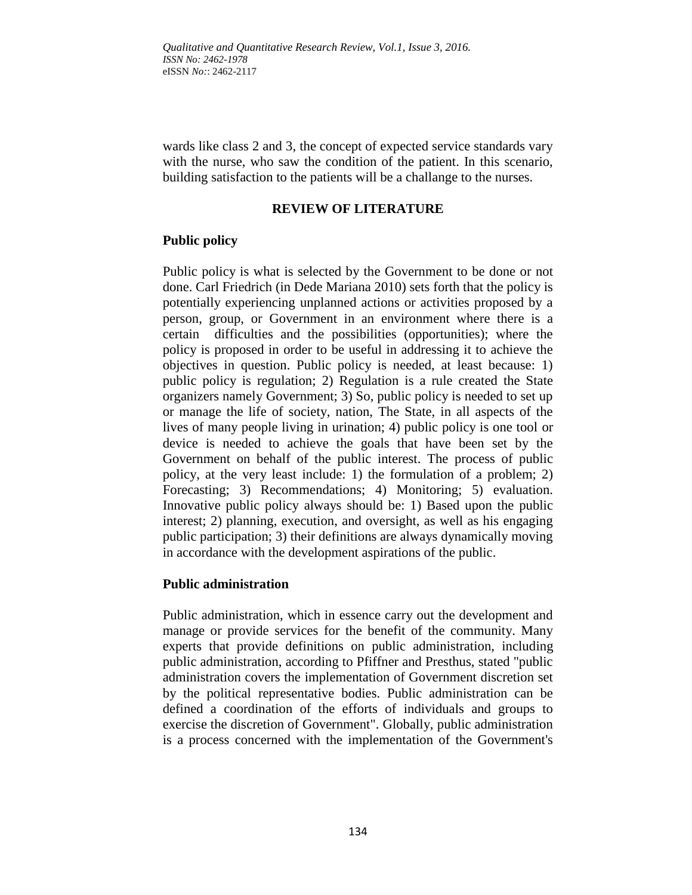wards like class 2 and 3, the concept of expected service standards vary with the nurse, who saw the condition of the patient. In this scenario, building satisfaction to the patients will be a challange to the nurses.

### **REVIEW OF LITERATURE**

## **Public policy**

Public policy is what is selected by the Government to be done or not done. Carl Friedrich (in Dede Mariana 2010) sets forth that the policy is potentially experiencing unplanned actions or activities proposed by a person, group, or Government in an environment where there is a certain difficulties and the possibilities (opportunities); where the policy is proposed in order to be useful in addressing it to achieve the objectives in question. Public policy is needed, at least because: 1) public policy is regulation; 2) Regulation is a rule created the State organizers namely Government; 3) So, public policy is needed to set up or manage the life of society, nation, The State, in all aspects of the lives of many people living in urination; 4) public policy is one tool or device is needed to achieve the goals that have been set by the Government on behalf of the public interest. The process of public policy, at the very least include: 1) the formulation of a problem; 2) Forecasting; 3) Recommendations; 4) Monitoring; 5) evaluation. Innovative public policy always should be: 1) Based upon the public interest; 2) planning, execution, and oversight, as well as his engaging public participation; 3) their definitions are always dynamically moving in accordance with the development aspirations of the public.

## **Public administration**

Public administration, which in essence carry out the development and manage or provide services for the benefit of the community. Many experts that provide definitions on public administration, including public administration, according to Pfiffner and Presthus, stated "public administration covers the implementation of Government discretion set by the political representative bodies. Public administration can be defined a coordination of the efforts of individuals and groups to exercise the discretion of Government". Globally, public administration is a process concerned with the implementation of the Government's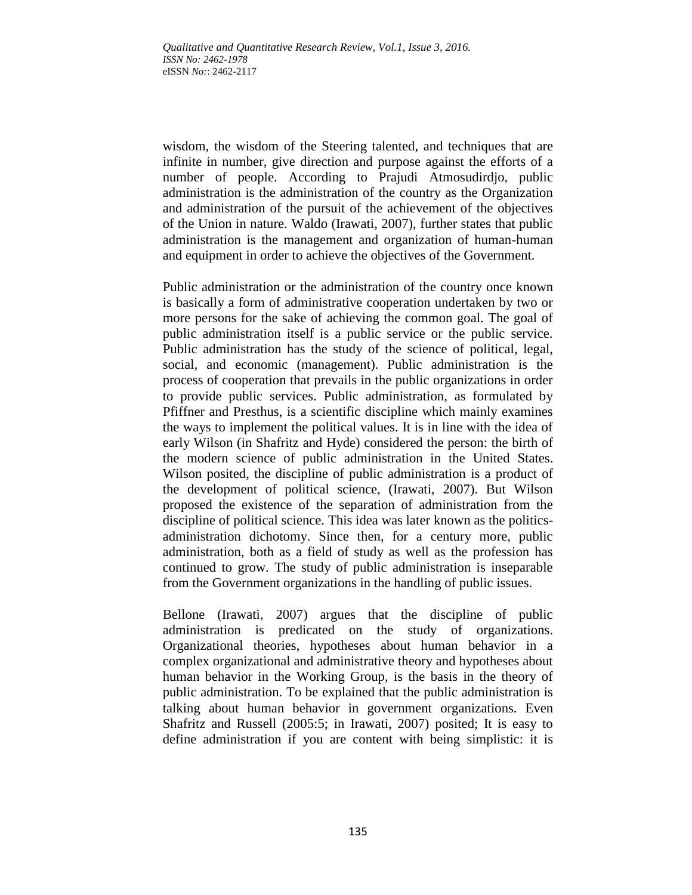wisdom, the wisdom of the Steering talented, and techniques that are infinite in number, give direction and purpose against the efforts of a number of people. According to Prajudi Atmosudirdjo, public administration is the administration of the country as the Organization and administration of the pursuit of the achievement of the objectives of the Union in nature. Waldo (Irawati, 2007), further states that public administration is the management and organization of human-human and equipment in order to achieve the objectives of the Government.

Public administration or the administration of the country once known is basically a form of administrative cooperation undertaken by two or more persons for the sake of achieving the common goal. The goal of public administration itself is a public service or the public service. Public administration has the study of the science of political, legal, social, and economic (management). Public administration is the process of cooperation that prevails in the public organizations in order to provide public services. Public administration, as formulated by Pfiffner and Presthus, is a scientific discipline which mainly examines the ways to implement the political values. It is in line with the idea of early Wilson (in Shafritz and Hyde) considered the person: the birth of the modern science of public administration in the United States. Wilson posited, the discipline of public administration is a product of the development of political science, (Irawati, 2007). But Wilson proposed the existence of the separation of administration from the discipline of political science. This idea was later known as the politicsadministration dichotomy. Since then, for a century more, public administration, both as a field of study as well as the profession has continued to grow. The study of public administration is inseparable from the Government organizations in the handling of public issues.

Bellone (Irawati, 2007) argues that the discipline of public administration is predicated on the study of organizations. Organizational theories, hypotheses about human behavior in a complex organizational and administrative theory and hypotheses about human behavior in the Working Group, is the basis in the theory of public administration. To be explained that the public administration is talking about human behavior in government organizations. Even Shafritz and Russell (2005:5; in Irawati, 2007) posited; It is easy to define administration if you are content with being simplistic: it is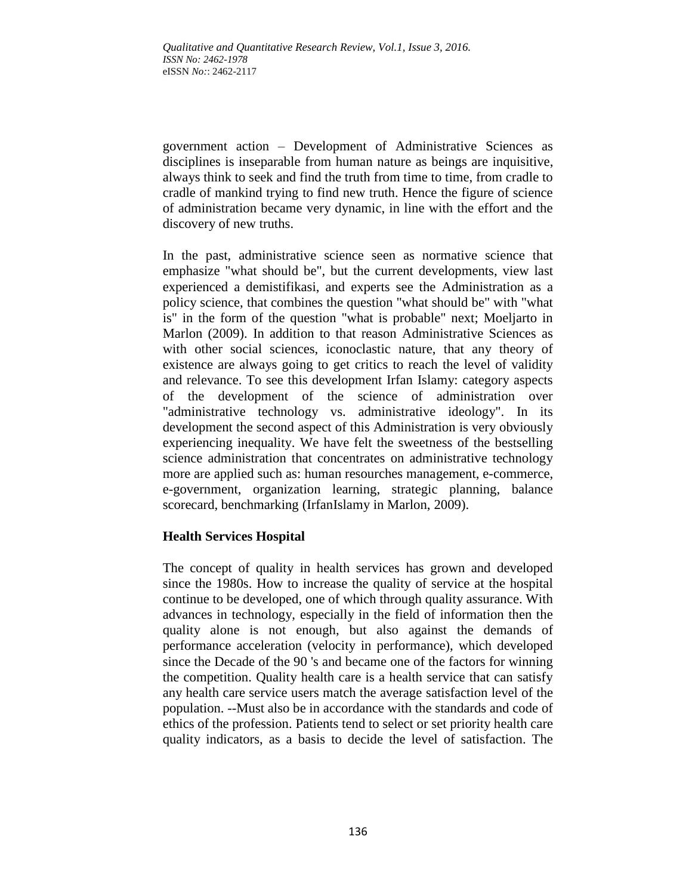government action – Development of Administrative Sciences as disciplines is inseparable from human nature as beings are inquisitive, always think to seek and find the truth from time to time, from cradle to cradle of mankind trying to find new truth. Hence the figure of science of administration became very dynamic, in line with the effort and the discovery of new truths.

In the past, administrative science seen as normative science that emphasize "what should be", but the current developments, view last experienced a demistifikasi, and experts see the Administration as a policy science, that combines the question "what should be" with "what is" in the form of the question "what is probable" next; Moeljarto in Marlon (2009). In addition to that reason Administrative Sciences as with other social sciences, iconoclastic nature, that any theory of existence are always going to get critics to reach the level of validity and relevance. To see this development Irfan Islamy: category aspects of the development of the science of administration over "administrative technology vs. administrative ideology". In its development the second aspect of this Administration is very obviously experiencing inequality. We have felt the sweetness of the bestselling science administration that concentrates on administrative technology more are applied such as: human resourches management, e-commerce, e-government, organization learning, strategic planning, balance scorecard, benchmarking (IrfanIslamy in Marlon, 2009).

## **Health Services Hospital**

The concept of quality in health services has grown and developed since the 1980s. How to increase the quality of service at the hospital continue to be developed, one of which through quality assurance. With advances in technology, especially in the field of information then the quality alone is not enough, but also against the demands of performance acceleration (velocity in performance), which developed since the Decade of the 90 's and became one of the factors for winning the competition. Quality health care is a health service that can satisfy any health care service users match the average satisfaction level of the population. --Must also be in accordance with the standards and code of ethics of the profession. Patients tend to select or set priority health care quality indicators, as a basis to decide the level of satisfaction. The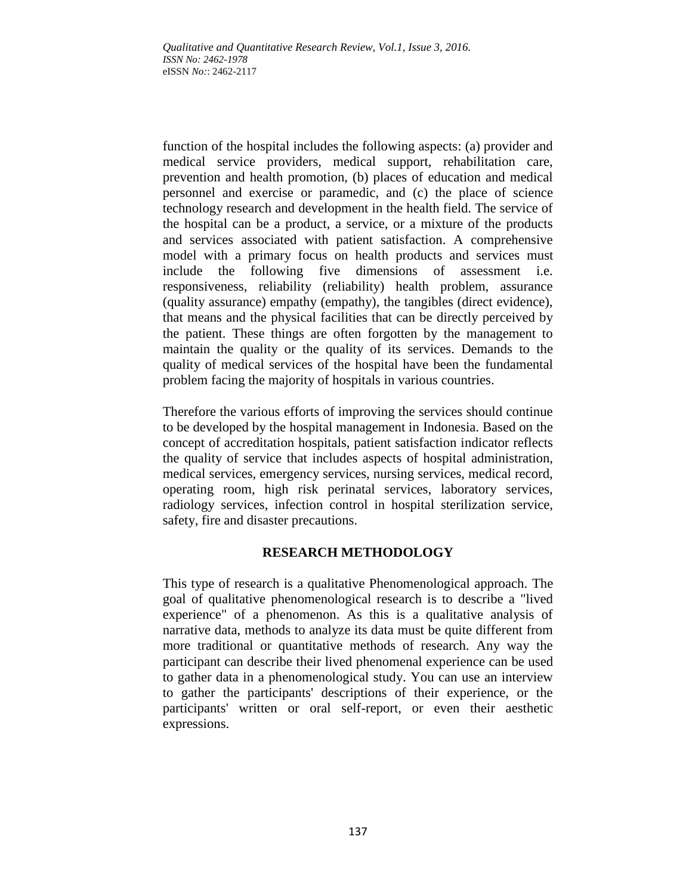function of the hospital includes the following aspects: (a) provider and medical service providers, medical support, rehabilitation care, prevention and health promotion, (b) places of education and medical personnel and exercise or paramedic, and (c) the place of science technology research and development in the health field. The service of the hospital can be a product, a service, or a mixture of the products and services associated with patient satisfaction. A comprehensive model with a primary focus on health products and services must include the following five dimensions of assessment i.e. responsiveness, reliability (reliability) health problem, assurance (quality assurance) empathy (empathy), the tangibles (direct evidence), that means and the physical facilities that can be directly perceived by the patient. These things are often forgotten by the management to maintain the quality or the quality of its services. Demands to the quality of medical services of the hospital have been the fundamental problem facing the majority of hospitals in various countries.

Therefore the various efforts of improving the services should continue to be developed by the hospital management in Indonesia. Based on the concept of accreditation hospitals, patient satisfaction indicator reflects the quality of service that includes aspects of hospital administration, medical services, emergency services, nursing services, medical record, operating room, high risk perinatal services, laboratory services, radiology services, infection control in hospital sterilization service, safety, fire and disaster precautions.

# **RESEARCH METHODOLOGY**

This type of research is a qualitative Phenomenological approach. The goal of qualitative phenomenological research is to describe a "lived experience" of a phenomenon. As this is a qualitative analysis of narrative data, methods to analyze its data must be quite different from more traditional or quantitative methods of research. Any way the participant can describe their lived phenomenal experience can be used to gather data in a phenomenological study. You can use an interview to gather the participants' descriptions of their experience, or the participants' written or oral self-report, or even their aesthetic expressions.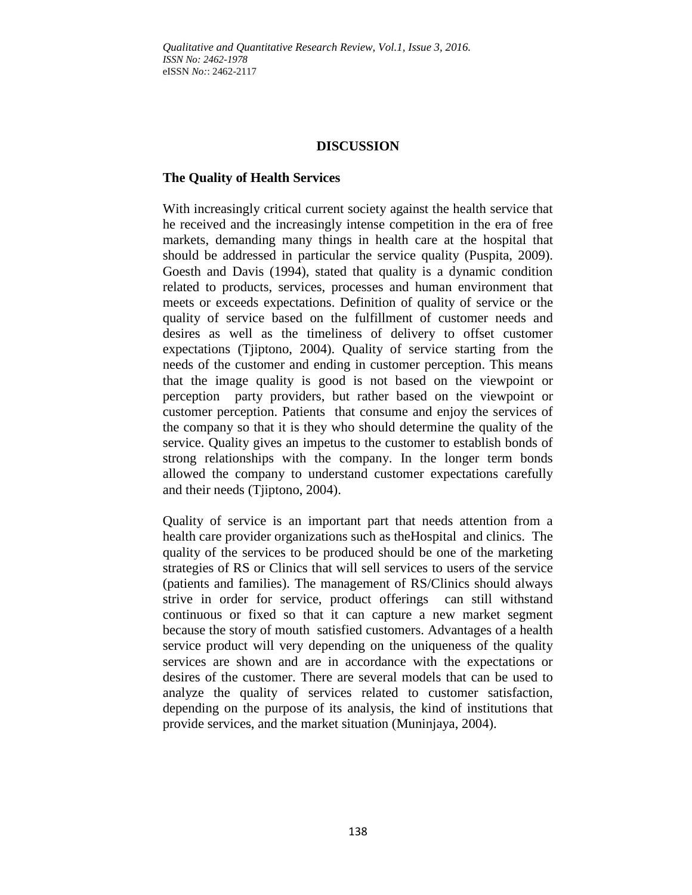# **DISCUSSION**

## **The Quality of Health Services**

With increasingly critical current society against the health service that he received and the increasingly intense competition in the era of free markets, demanding many things in health care at the hospital that should be addressed in particular the service quality (Puspita, 2009). Goesth and Davis (1994), stated that quality is a dynamic condition related to products, services, processes and human environment that meets or exceeds expectations. Definition of quality of service or the quality of service based on the fulfillment of customer needs and desires as well as the timeliness of delivery to offset customer expectations (Tjiptono, 2004). Quality of service starting from the needs of the customer and ending in customer perception. This means that the image quality is good is not based on the viewpoint or perception party providers, but rather based on the viewpoint or customer perception. Patients that consume and enjoy the services of the company so that it is they who should determine the quality of the service. Quality gives an impetus to the customer to establish bonds of strong relationships with the company. In the longer term bonds allowed the company to understand customer expectations carefully and their needs (Tjiptono, 2004).

Quality of service is an important part that needs attention from a health care provider organizations such as theHospital and clinics. The quality of the services to be produced should be one of the marketing strategies of RS or Clinics that will sell services to users of the service (patients and families). The management of RS/Clinics should always strive in order for service, product offerings can still withstand continuous or fixed so that it can capture a new market segment because the story of mouth satisfied customers. Advantages of a health service product will very depending on the uniqueness of the quality services are shown and are in accordance with the expectations or desires of the customer. There are several models that can be used to analyze the quality of services related to customer satisfaction, depending on the purpose of its analysis, the kind of institutions that provide services, and the market situation (Muninjaya, 2004).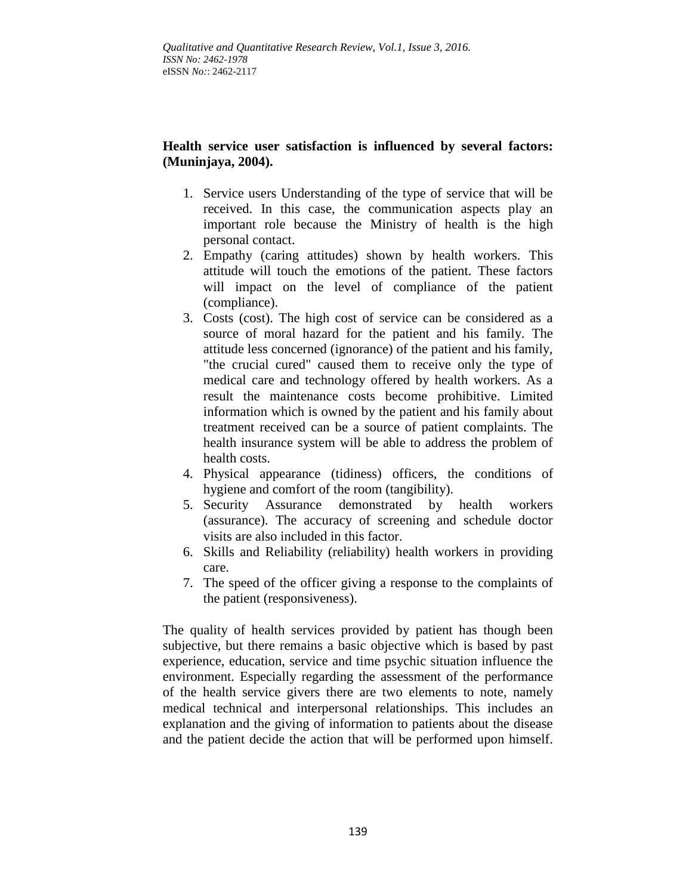# **Health service user satisfaction is influenced by several factors: (Muninjaya, 2004).**

- 1. Service users Understanding of the type of service that will be received. In this case, the communication aspects play an important role because the Ministry of health is the high personal contact.
- 2. Empathy (caring attitudes) shown by health workers. This attitude will touch the emotions of the patient. These factors will impact on the level of compliance of the patient (compliance).
- 3. Costs (cost). The high cost of service can be considered as a source of moral hazard for the patient and his family. The attitude less concerned (ignorance) of the patient and his family, "the crucial cured" caused them to receive only the type of medical care and technology offered by health workers. As a result the maintenance costs become prohibitive. Limited information which is owned by the patient and his family about treatment received can be a source of patient complaints. The health insurance system will be able to address the problem of health costs.
- 4. Physical appearance (tidiness) officers, the conditions of hygiene and comfort of the room (tangibility).
- 5. Security Assurance demonstrated by health workers (assurance). The accuracy of screening and schedule doctor visits are also included in this factor.
- 6. Skills and Reliability (reliability) health workers in providing care.
- 7. The speed of the officer giving a response to the complaints of the patient (responsiveness).

The quality of health services provided by patient has though been subjective, but there remains a basic objective which is based by past experience, education, service and time psychic situation influence the environment. Especially regarding the assessment of the performance of the health service givers there are two elements to note, namely medical technical and interpersonal relationships. This includes an explanation and the giving of information to patients about the disease and the patient decide the action that will be performed upon himself.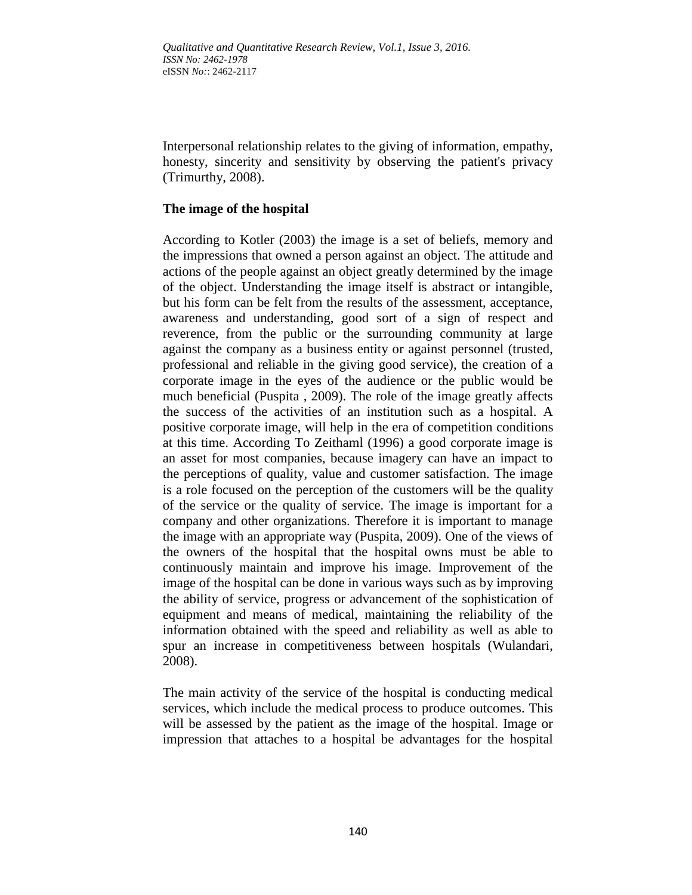Interpersonal relationship relates to the giving of information, empathy, honesty, sincerity and sensitivity by observing the patient's privacy (Trimurthy, 2008).

## **The image of the hospital**

According to Kotler (2003) the image is a set of beliefs, memory and the impressions that owned a person against an object. The attitude and actions of the people against an object greatly determined by the image of the object. Understanding the image itself is abstract or intangible, but his form can be felt from the results of the assessment, acceptance, awareness and understanding, good sort of a sign of respect and reverence, from the public or the surrounding community at large against the company as a business entity or against personnel (trusted, professional and reliable in the giving good service), the creation of a corporate image in the eyes of the audience or the public would be much beneficial (Puspita , 2009). The role of the image greatly affects the success of the activities of an institution such as a hospital. A positive corporate image, will help in the era of competition conditions at this time. According To Zeithaml (1996) a good corporate image is an asset for most companies, because imagery can have an impact to the perceptions of quality, value and customer satisfaction. The image is a role focused on the perception of the customers will be the quality of the service or the quality of service. The image is important for a company and other organizations. Therefore it is important to manage the image with an appropriate way (Puspita, 2009). One of the views of the owners of the hospital that the hospital owns must be able to continuously maintain and improve his image. Improvement of the image of the hospital can be done in various ways such as by improving the ability of service, progress or advancement of the sophistication of equipment and means of medical, maintaining the reliability of the information obtained with the speed and reliability as well as able to spur an increase in competitiveness between hospitals (Wulandari, 2008).

The main activity of the service of the hospital is conducting medical services, which include the medical process to produce outcomes. This will be assessed by the patient as the image of the hospital. Image or impression that attaches to a hospital be advantages for the hospital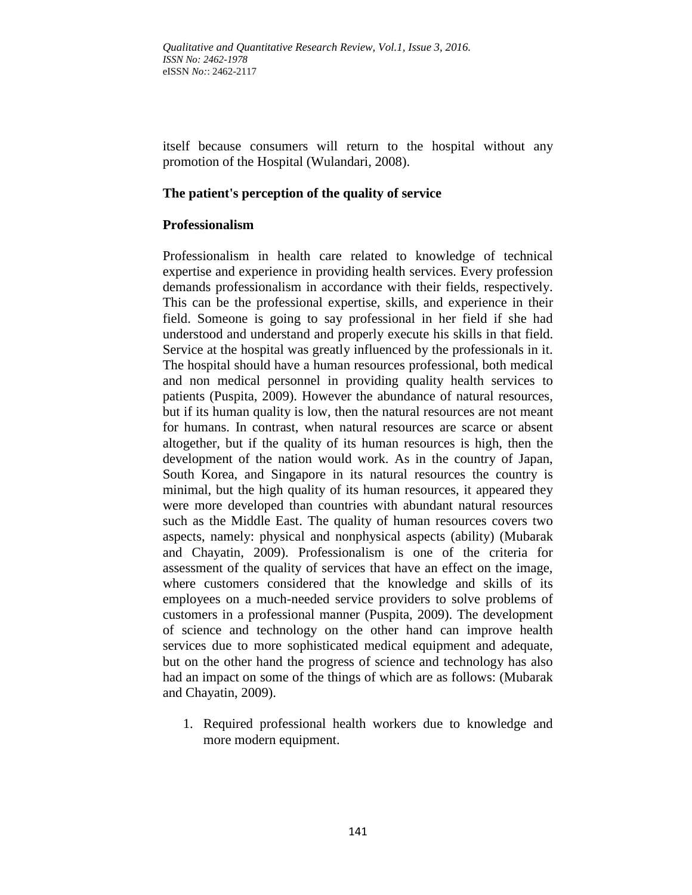itself because consumers will return to the hospital without any promotion of the Hospital (Wulandari, 2008).

### **The patient's perception of the quality of service**

### **Professionalism**

Professionalism in health care related to knowledge of technical expertise and experience in providing health services. Every profession demands professionalism in accordance with their fields, respectively. This can be the professional expertise, skills, and experience in their field. Someone is going to say professional in her field if she had understood and understand and properly execute his skills in that field. Service at the hospital was greatly influenced by the professionals in it. The hospital should have a human resources professional, both medical and non medical personnel in providing quality health services to patients (Puspita, 2009). However the abundance of natural resources, but if its human quality is low, then the natural resources are not meant for humans. In contrast, when natural resources are scarce or absent altogether, but if the quality of its human resources is high, then the development of the nation would work. As in the country of Japan, South Korea, and Singapore in its natural resources the country is minimal, but the high quality of its human resources, it appeared they were more developed than countries with abundant natural resources such as the Middle East. The quality of human resources covers two aspects, namely: physical and nonphysical aspects (ability) (Mubarak and Chayatin, 2009). Professionalism is one of the criteria for assessment of the quality of services that have an effect on the image, where customers considered that the knowledge and skills of its employees on a much-needed service providers to solve problems of customers in a professional manner (Puspita, 2009). The development of science and technology on the other hand can improve health services due to more sophisticated medical equipment and adequate, but on the other hand the progress of science and technology has also had an impact on some of the things of which are as follows: (Mubarak and Chayatin, 2009).

1. Required professional health workers due to knowledge and more modern equipment.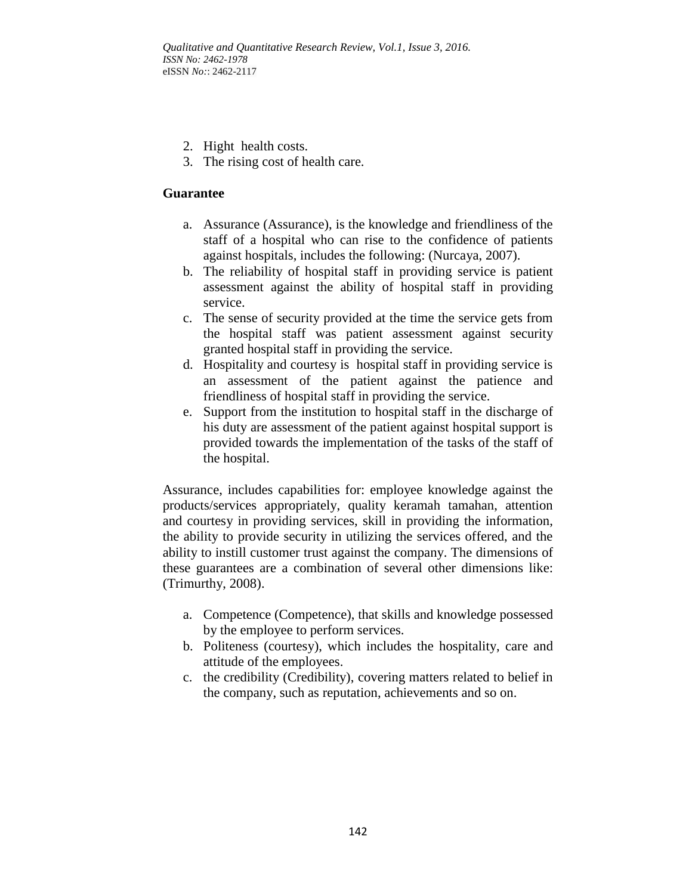- 2. Hight health costs.
- 3. The rising cost of health care.

# **Guarantee**

- a. Assurance (Assurance), is the knowledge and friendliness of the staff of a hospital who can rise to the confidence of patients against hospitals, includes the following: (Nurcaya, 2007).
- b. The reliability of hospital staff in providing service is patient assessment against the ability of hospital staff in providing service.
- c. The sense of security provided at the time the service gets from the hospital staff was patient assessment against security granted hospital staff in providing the service.
- d. Hospitality and courtesy is hospital staff in providing service is an assessment of the patient against the patience and friendliness of hospital staff in providing the service.
- e. Support from the institution to hospital staff in the discharge of his duty are assessment of the patient against hospital support is provided towards the implementation of the tasks of the staff of the hospital.

Assurance, includes capabilities for: employee knowledge against the products/services appropriately, quality keramah tamahan, attention and courtesy in providing services, skill in providing the information, the ability to provide security in utilizing the services offered, and the ability to instill customer trust against the company. The dimensions of these guarantees are a combination of several other dimensions like: (Trimurthy, 2008).

- a. Competence (Competence), that skills and knowledge possessed by the employee to perform services.
- b. Politeness (courtesy), which includes the hospitality, care and attitude of the employees.
- c. the credibility (Credibility), covering matters related to belief in the company, such as reputation, achievements and so on.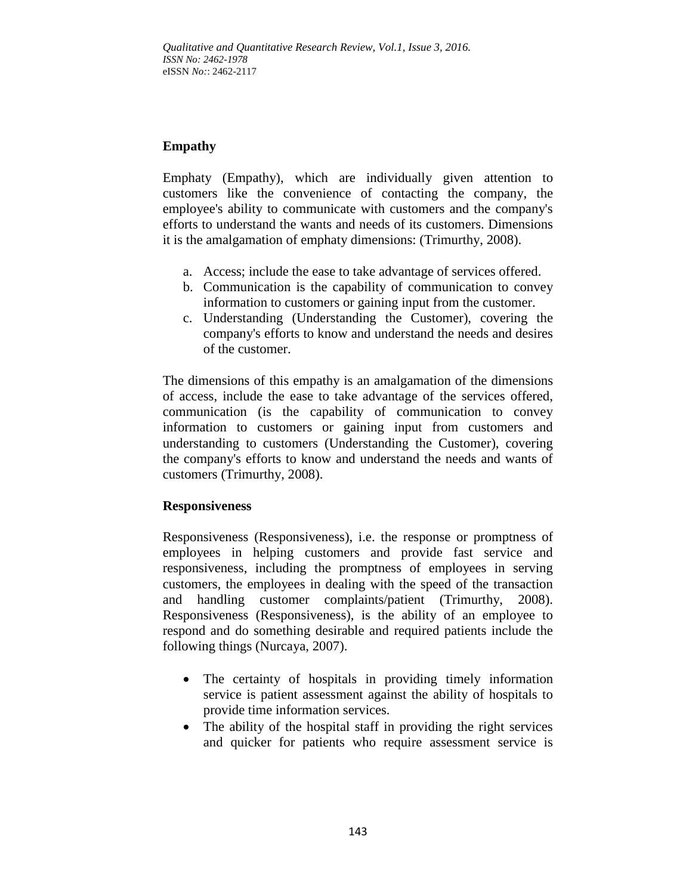# **Empathy**

Emphaty (Empathy), which are individually given attention to customers like the convenience of contacting the company, the employee's ability to communicate with customers and the company's efforts to understand the wants and needs of its customers. Dimensions it is the amalgamation of emphaty dimensions: (Trimurthy, 2008).

- a. Access; include the ease to take advantage of services offered.
- b. Communication is the capability of communication to convey information to customers or gaining input from the customer.
- c. Understanding (Understanding the Customer), covering the company's efforts to know and understand the needs and desires of the customer.

The dimensions of this empathy is an amalgamation of the dimensions of access, include the ease to take advantage of the services offered, communication (is the capability of communication to convey information to customers or gaining input from customers and understanding to customers (Understanding the Customer), covering the company's efforts to know and understand the needs and wants of customers (Trimurthy, 2008).

# **Responsiveness**

Responsiveness (Responsiveness), i.e. the response or promptness of employees in helping customers and provide fast service and responsiveness, including the promptness of employees in serving customers, the employees in dealing with the speed of the transaction and handling customer complaints/patient (Trimurthy, 2008). Responsiveness (Responsiveness), is the ability of an employee to respond and do something desirable and required patients include the following things (Nurcaya, 2007).

- The certainty of hospitals in providing timely information service is patient assessment against the ability of hospitals to provide time information services.
- The ability of the hospital staff in providing the right services and quicker for patients who require assessment service is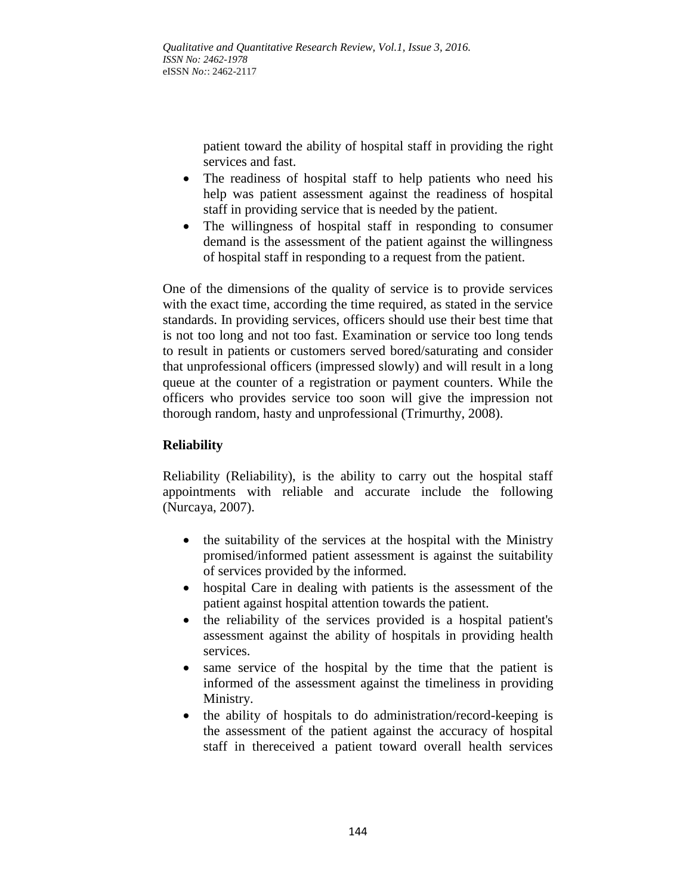patient toward the ability of hospital staff in providing the right services and fast.

- The readiness of hospital staff to help patients who need his help was patient assessment against the readiness of hospital staff in providing service that is needed by the patient.
- The willingness of hospital staff in responding to consumer demand is the assessment of the patient against the willingness of hospital staff in responding to a request from the patient.

One of the dimensions of the quality of service is to provide services with the exact time, according the time required, as stated in the service standards. In providing services, officers should use their best time that is not too long and not too fast. Examination or service too long tends to result in patients or customers served bored/saturating and consider that unprofessional officers (impressed slowly) and will result in a long queue at the counter of a registration or payment counters. While the officers who provides service too soon will give the impression not thorough random, hasty and unprofessional (Trimurthy, 2008).

# **Reliability**

Reliability (Reliability), is the ability to carry out the hospital staff appointments with reliable and accurate include the following (Nurcaya, 2007).

- the suitability of the services at the hospital with the Ministry promised/informed patient assessment is against the suitability of services provided by the informed.
- hospital Care in dealing with patients is the assessment of the patient against hospital attention towards the patient.
- the reliability of the services provided is a hospital patient's assessment against the ability of hospitals in providing health services.
- same service of the hospital by the time that the patient is informed of the assessment against the timeliness in providing Ministry.
- the ability of hospitals to do administration/record-keeping is the assessment of the patient against the accuracy of hospital staff in thereceived a patient toward overall health services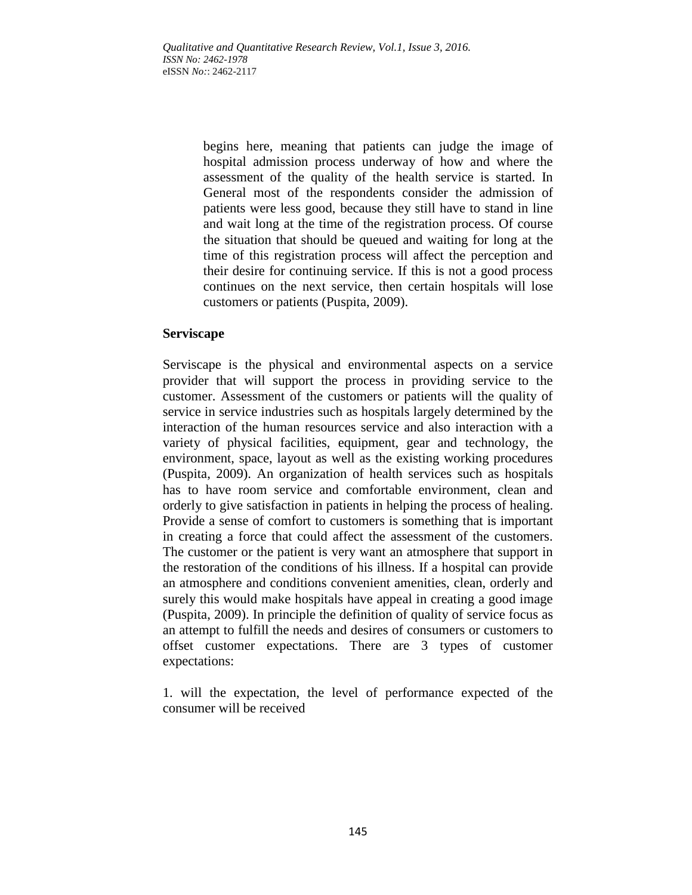begins here, meaning that patients can judge the image of hospital admission process underway of how and where the assessment of the quality of the health service is started. In General most of the respondents consider the admission of patients were less good, because they still have to stand in line and wait long at the time of the registration process. Of course the situation that should be queued and waiting for long at the time of this registration process will affect the perception and their desire for continuing service. If this is not a good process continues on the next service, then certain hospitals will lose customers or patients (Puspita, 2009).

## **Serviscape**

Serviscape is the physical and environmental aspects on a service provider that will support the process in providing service to the customer. Assessment of the customers or patients will the quality of service in service industries such as hospitals largely determined by the interaction of the human resources service and also interaction with a variety of physical facilities, equipment, gear and technology, the environment, space, layout as well as the existing working procedures (Puspita, 2009). An organization of health services such as hospitals has to have room service and comfortable environment, clean and orderly to give satisfaction in patients in helping the process of healing. Provide a sense of comfort to customers is something that is important in creating a force that could affect the assessment of the customers. The customer or the patient is very want an atmosphere that support in the restoration of the conditions of his illness. If a hospital can provide an atmosphere and conditions convenient amenities, clean, orderly and surely this would make hospitals have appeal in creating a good image (Puspita, 2009). In principle the definition of quality of service focus as an attempt to fulfill the needs and desires of consumers or customers to offset customer expectations. There are 3 types of customer expectations:

1. will the expectation, the level of performance expected of the consumer will be received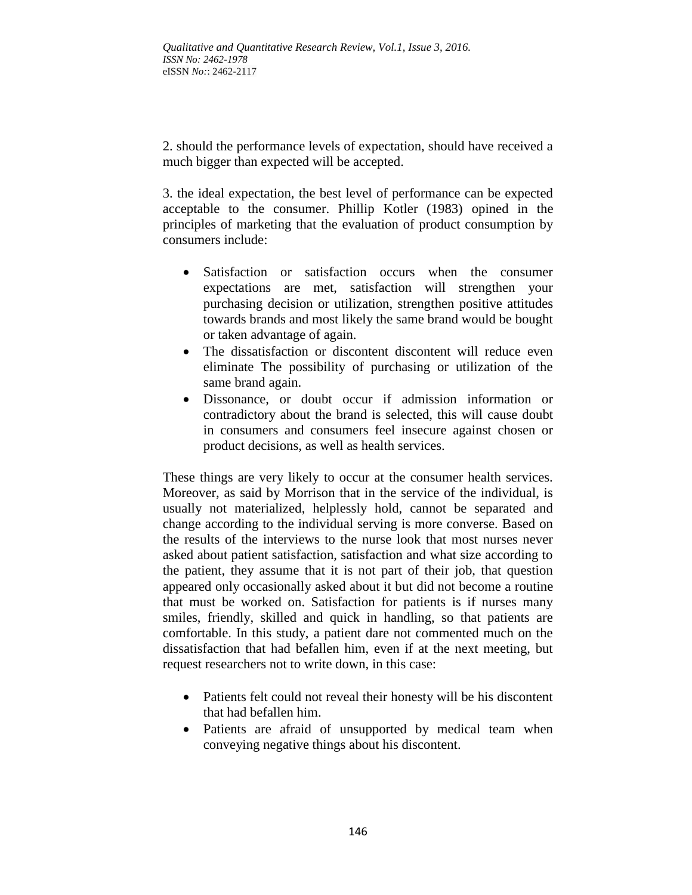2. should the performance levels of expectation, should have received a much bigger than expected will be accepted.

3. the ideal expectation, the best level of performance can be expected acceptable to the consumer. Phillip Kotler (1983) opined in the principles of marketing that the evaluation of product consumption by consumers include:

- Satisfaction or satisfaction occurs when the consumer expectations are met, satisfaction will strengthen your purchasing decision or utilization, strengthen positive attitudes towards brands and most likely the same brand would be bought or taken advantage of again.
- The dissatisfaction or discontent discontent will reduce even eliminate The possibility of purchasing or utilization of the same brand again.
- Dissonance, or doubt occur if admission information or contradictory about the brand is selected, this will cause doubt in consumers and consumers feel insecure against chosen or product decisions, as well as health services.

These things are very likely to occur at the consumer health services. Moreover, as said by Morrison that in the service of the individual, is usually not materialized, helplessly hold, cannot be separated and change according to the individual serving is more converse. Based on the results of the interviews to the nurse look that most nurses never asked about patient satisfaction, satisfaction and what size according to the patient, they assume that it is not part of their job, that question appeared only occasionally asked about it but did not become a routine that must be worked on. Satisfaction for patients is if nurses many smiles, friendly, skilled and quick in handling, so that patients are comfortable. In this study, a patient dare not commented much on the dissatisfaction that had befallen him, even if at the next meeting, but request researchers not to write down, in this case:

- Patients felt could not reveal their honesty will be his discontent that had befallen him.
- Patients are afraid of unsupported by medical team when conveying negative things about his discontent.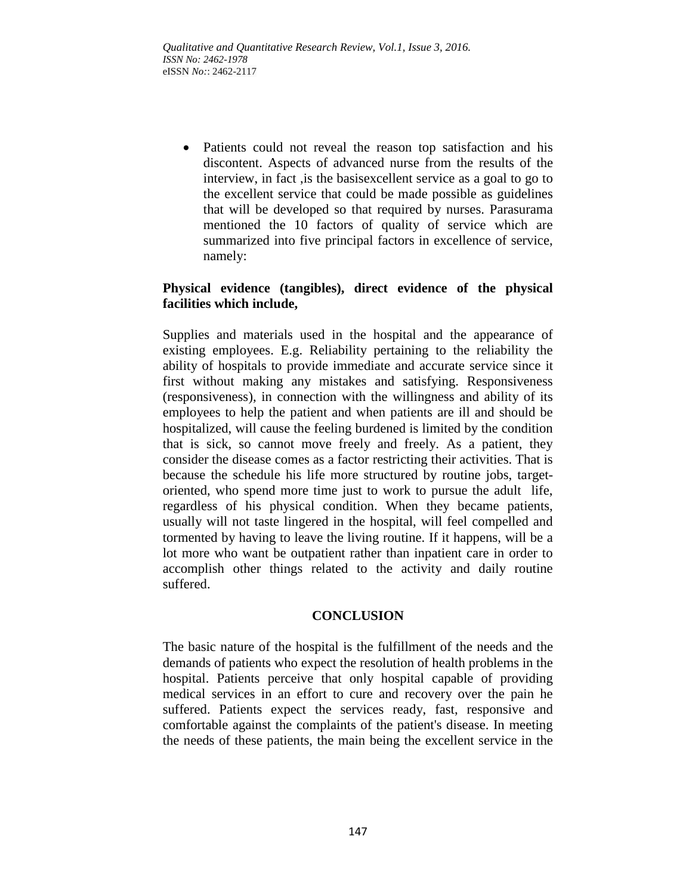• Patients could not reveal the reason top satisfaction and his discontent. Aspects of advanced nurse from the results of the interview, in fact ,is the basisexcellent service as a goal to go to the excellent service that could be made possible as guidelines that will be developed so that required by nurses. Parasurama mentioned the 10 factors of quality of service which are summarized into five principal factors in excellence of service, namely:

# **Physical evidence (tangibles), direct evidence of the physical facilities which include,**

Supplies and materials used in the hospital and the appearance of existing employees. E.g. Reliability pertaining to the reliability the ability of hospitals to provide immediate and accurate service since it first without making any mistakes and satisfying. Responsiveness (responsiveness), in connection with the willingness and ability of its employees to help the patient and when patients are ill and should be hospitalized, will cause the feeling burdened is limited by the condition that is sick, so cannot move freely and freely. As a patient, they consider the disease comes as a factor restricting their activities. That is because the schedule his life more structured by routine jobs, targetoriented, who spend more time just to work to pursue the adult life, regardless of his physical condition. When they became patients, usually will not taste lingered in the hospital, will feel compelled and tormented by having to leave the living routine. If it happens, will be a lot more who want be outpatient rather than inpatient care in order to accomplish other things related to the activity and daily routine suffered.

# **CONCLUSION**

The basic nature of the hospital is the fulfillment of the needs and the demands of patients who expect the resolution of health problems in the hospital. Patients perceive that only hospital capable of providing medical services in an effort to cure and recovery over the pain he suffered. Patients expect the services ready, fast, responsive and comfortable against the complaints of the patient's disease. In meeting the needs of these patients, the main being the excellent service in the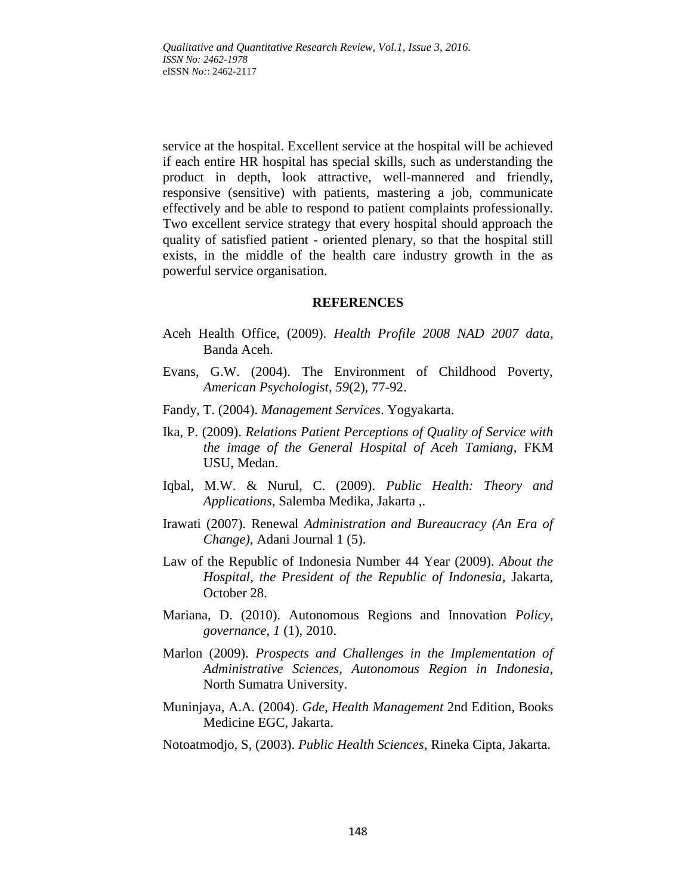service at the hospital. Excellent service at the hospital will be achieved if each entire HR hospital has special skills, such as understanding the product in depth, look attractive, well-mannered and friendly, responsive (sensitive) with patients, mastering a job, communicate effectively and be able to respond to patient complaints professionally. Two excellent service strategy that every hospital should approach the quality of satisfied patient - oriented plenary, so that the hospital still exists, in the middle of the health care industry growth in the as powerful service organisation.

#### **REFERENCES**

- Aceh Health Office, (2009). *Health Profile 2008 NAD 2007 data*, Banda Aceh.
- Evans, G.W. (2004). The Environment of Childhood Poverty, *American Psychologist, 59*(2), 77-92.
- Fandy, T. (2004). *Management Services*. Yogyakarta.
- Ika, P. (2009). *Relations Patient Perceptions of Quality of Service with the image of the General Hospital of Aceh Tamiang*, FKM USU, Medan.
- Iqbal, M.W. & Nurul, C. (2009). *Public Health: Theory and Applications*, Salemba Medika, Jakarta ,.
- Irawati (2007). Renewal *Administration and Bureaucracy (An Era of Change)*, Adani Journal 1 (5).
- Law of the Republic of Indonesia Number 44 Year (2009). *About the Hospital, the President of the Republic of Indonesia*, Jakarta, October 28.
- Mariana, D. (2010). Autonomous Regions and Innovation *Policy, governance*, *1* (1), 2010.
- Marlon (2009). *Prospects and Challenges in the Implementation of Administrative Sciences, Autonomous Region in Indonesia*, North Sumatra University.
- Muninjaya, A.A. (2004). *Gde, Health Management* 2nd Edition, Books Medicine EGC, Jakarta.

#### Notoatmodjo, S, (2003). *Public Health Sciences*, Rineka Cipta, Jakarta.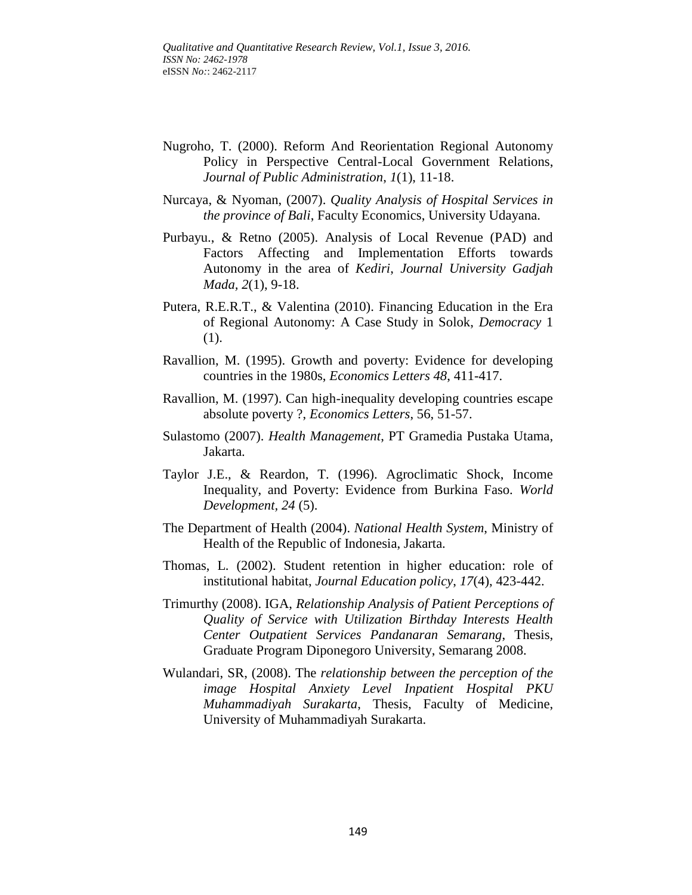- Nugroho, T. (2000). Reform And Reorientation Regional Autonomy Policy in Perspective Central-Local Government Relations, *Journal of Public Administration*, *1*(1), 11-18.
- Nurcaya, & Nyoman, (2007). *Quality Analysis of Hospital Services in the province of Bali*, Faculty Economics, University Udayana.
- Purbayu., & Retno (2005). Analysis of Local Revenue (PAD) and Factors Affecting and Implementation Efforts towards Autonomy in the area of *Kediri*, *Journal University Gadjah Mada, 2*(1), 9-18.
- Putera, R.E.R.T., & Valentina (2010). Financing Education in the Era of Regional Autonomy: A Case Study in Solok, *Democracy* 1 (1).
- Ravallion, M. (1995). Growth and poverty: Evidence for developing countries in the 1980s, *Economics Letters 48*, 411-417.
- Ravallion, M. (1997). Can high-inequality developing countries escape absolute poverty ?, *Economics Letters*, 56, 51-57.
- Sulastomo (2007). *Health Management*, PT Gramedia Pustaka Utama, Jakarta.
- Taylor J.E., & Reardon, T. (1996). Agroclimatic Shock, Income Inequality, and Poverty: Evidence from Burkina Faso. *World Development, 24* (5).
- The Department of Health (2004). *National Health System*, Ministry of Health of the Republic of Indonesia, Jakarta.
- Thomas, L. (2002). Student retention in higher education: role of institutional habitat, *Journal Education policy*, *17*(4), 423-442.
- Trimurthy (2008). IGA, *Relationship Analysis of Patient Perceptions of Quality of Service with Utilization Birthday Interests Health Center Outpatient Services Pandanaran Semarang*, Thesis, Graduate Program Diponegoro University, Semarang 2008.
- Wulandari, SR, (2008). The *relationship between the perception of the image Hospital Anxiety Level Inpatient Hospital PKU Muhammadiyah Surakarta*, Thesis, Faculty of Medicine, University of Muhammadiyah Surakarta.